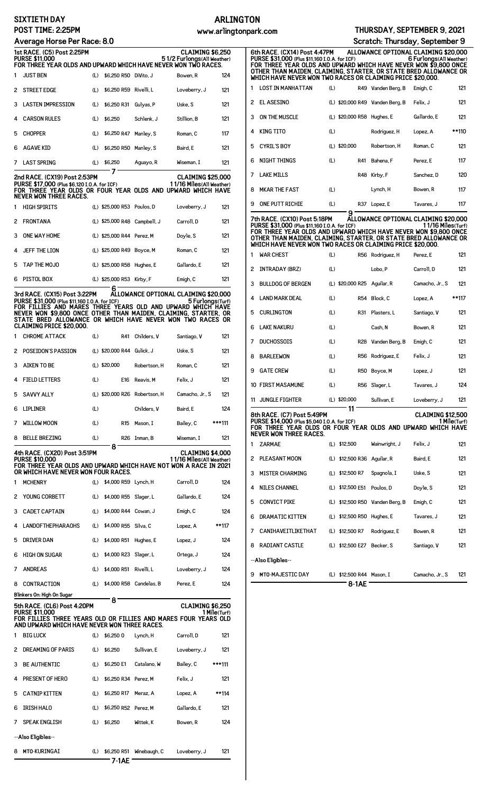## **SIXTIETH DAY POST TIME: 2:25PM**

# **ARLINGTON**

| Average Horse Per Race: 8.0 |                                                                                                                                                                                                                                              |     |                               |                          |                                                       |        |
|-----------------------------|----------------------------------------------------------------------------------------------------------------------------------------------------------------------------------------------------------------------------------------------|-----|-------------------------------|--------------------------|-------------------------------------------------------|--------|
|                             | 1st RACE. (C5) Post 2:25PM<br><b>PURSE \$11,000</b>                                                                                                                                                                                          |     |                               |                          | <b>CLAIMING \$6,250</b><br>51/2 Furlongs(All Weather) |        |
|                             | FOR THREE YEAR OLDS AND UPWARD WHICH HAVE NEVER WON TWO RACES.                                                                                                                                                                               |     |                               |                          |                                                       |        |
| 1                           | <b>JUST BEN</b>                                                                                                                                                                                                                              | (L) | \$6.250 R50 DiVito. J         |                          | Bowen, R                                              | 124    |
| 2                           | <b>STREET EDGE</b>                                                                                                                                                                                                                           | (L) | \$6,250 R59 Rivelli, L        |                          | Loveberry, J                                          | 121    |
| 3                           | LASTEN IMPRESSION                                                                                                                                                                                                                            | (L) | \$6,250 R31                   | Gulyas, P                | Uske, S                                               | 121    |
| 4                           | <b>CARSON RULES</b>                                                                                                                                                                                                                          | (L) | \$6,250                       | Schlenk, J               | Stillion, B                                           | 121    |
| 5                           | <b>CHOPPER</b>                                                                                                                                                                                                                               | (L) | \$6,250 R47                   | Manley, S                | Roman, C                                              | 117    |
| 6                           | AGAVE KID                                                                                                                                                                                                                                    | (L) | \$6,250 R50 Manley, S         |                          | Baird, E                                              | 121    |
| 7                           | LAST SPRING                                                                                                                                                                                                                                  | (L) | \$6,250<br>7                  | Aguayo, R                | Wiseman, I                                            | 121    |
|                             | 2nd RACE. (CX19) Post 2:53PM<br>PURSE \$17,000 (Plus \$6,120 I.O.A. for ICF)<br>FOR THREE YEAR OLDS OR FOUR YEAR OLDS AND UPWARD WHICH HAVE<br><b>NEVER WON THREE RACES.</b>                                                                 |     |                               |                          | <b>CLAIMING \$25,000</b><br>11/16 Miles (All Weather) |        |
| 1                           | <b>HIGH SPIRITS</b>                                                                                                                                                                                                                          |     | (L) \$25,000 R53 Poulos, D    |                          | Loveberry, J                                          | 121    |
| 2                           | <b>FRONTANA</b>                                                                                                                                                                                                                              |     | (L) \$25,000 R48 Campbell, J  |                          | Carroll, D                                            | 121    |
| 3                           | ONE WAY HOME                                                                                                                                                                                                                                 |     | (L) \$25,000 R44 Perez, M     |                          | Doyle, S                                              | 121    |
| 4                           | JEFF THE LION                                                                                                                                                                                                                                |     | (L) \$25,000 R49 Boyce, M     |                          | Roman, C                                              | 121    |
| 5                           | TAP THE MOJO                                                                                                                                                                                                                                 |     | (L) \$25,000 R58 Hughes, E    |                          | Gallardo, E                                           | 121    |
| 6                           | PISTOL BOX                                                                                                                                                                                                                                   |     | (L) \$25,000 R53 Kirby, F     |                          | Emigh, C                                              | 121    |
|                             | 3rd RACE. (CX15) Post 3:22PM                                                                                                                                                                                                                 |     | 6                             |                          | ALLOWANCE OPTIONAL CLAIMING \$20,000                  |        |
|                             | PURSE \$31,000 (Plus \$11,160 I.O.A. for ICF)<br>FOR FILLIES AND MARES THREE YEARS OLD AND UPWARD WHICH HAVE<br>NEVER WON \$9,800 ONCE OTHER THAN MAIDEN, CLAIMING, STARTER, OR<br>STATE BRED ALLOWANCE OR WHICH HAVE NEVER WON TWO RACES OR |     |                               |                          | 5 Furlongs(Turf)                                      |        |
| 1                           | <b>CLAIMING PRICE \$20,000.</b><br><b>CHROME ATTACK</b>                                                                                                                                                                                      | (L) | R41                           | Childers, V              | Santiago, V                                           | 121    |
| 2                           | POSEIDON'S PASSION                                                                                                                                                                                                                           |     | (L) \$20,000 R44 Gulick, J    |                          | Uske, S                                               | 121    |
| 3                           | <b>AIKEN TO BE</b>                                                                                                                                                                                                                           |     | (L) \$20,000                  | Robertson, H             | Roman, C                                              | 121    |
| 4                           | <b>FIELD LETTERS</b>                                                                                                                                                                                                                         | (L) |                               | E16 Reavis, M            | Felix. J                                              | 121    |
| 5                           | <b>SAVVY ALLY</b>                                                                                                                                                                                                                            |     | (L) \$20,000 R26 Robertson, H |                          | Camacho, Jr., S                                       | 121    |
| 6                           | <b>LIPLINER</b>                                                                                                                                                                                                                              | (L) |                               | Childers, V              | Baird, E                                              | 124    |
| 7                           | <b>WILLOW MOON</b>                                                                                                                                                                                                                           | (L) | R15                           | Mason, I                 | Bailey, C                                             | ***111 |
| 8                           | <b>BELLE BREZING</b>                                                                                                                                                                                                                         | (L) |                               | R26 Inman, B             | Wiseman, I                                            | 121    |
|                             |                                                                                                                                                                                                                                              |     | 8                             |                          |                                                       |        |
|                             | 4th RACE. (CX20) Post 3:51PM<br><b>PURSE \$10,000</b><br>FOR THREE YEAR OLDS AND UPWARD WHICH HAVE NOT WON A RACE IN 2021<br>OR WHICH HAVE NEVER WON FOUR RACES.                                                                             |     |                               |                          | <b>CLAIMING \$4,000</b><br>11/16 Miles (All Weather)  |        |
| 1                           | <b>MCHENRY</b>                                                                                                                                                                                                                               | (L) | \$4,000 R59 Lynch, H          |                          | Carroll, D                                            | 124    |
| 2                           | YOUNG CORBETT                                                                                                                                                                                                                                | (L) | \$4,000 R55                   | Slager, L                | Gallardo, E                                           | 124    |
| 3                           | <b>CADET CAPTAIN</b>                                                                                                                                                                                                                         | (L) | \$4,000 R44 Cowan, J          |                          | Emigh, C                                              | 124    |
| 4                           | <b>LANDOFTHEPHARAOHS</b>                                                                                                                                                                                                                     | (L) | \$4,000 R55 Silva, C          |                          | Lopez, A                                              | **117  |
| 5                           | DRIVER DAN                                                                                                                                                                                                                                   | (L) | \$4,000 R51                   | Hughes, E                | Lopez, J                                              | 124    |
| 6                           | <b>HIGH ON SUGAR</b>                                                                                                                                                                                                                         | (L) | \$4,000 R23                   | Slager, L                | Ortega, J                                             | 124    |
| 7                           | <b>ANDREAS</b>                                                                                                                                                                                                                               | (L) | \$4,000 R51                   | Rivelli, L               | Loveberry, J                                          | 124    |
| 8                           | CONTRACTION                                                                                                                                                                                                                                  | (L) |                               | \$4,000 R58 Candelas, B  | Perez, E                                              | 124    |
|                             | Blinkers On: High On Sugar                                                                                                                                                                                                                   |     | 8                             |                          |                                                       |        |
|                             | 5th RACE. (CL6) Post 4:20PM<br><b>PURSE \$11,000</b>                                                                                                                                                                                         |     |                               |                          | CLAIMING \$6,250<br>1 Mile(Turf)                      |        |
|                             | FOR FILLIES THREE YEARS OLD OR FILLIES AND MARES FOUR YEARS OLD<br>AND UPWARD WHICH HAVE NEVER WON THREE RACES.                                                                                                                              |     |                               |                          |                                                       |        |
| 1                           | <b>BIG LUCK</b>                                                                                                                                                                                                                              | (L) | \$6,250 0                     | Lynch, H                 | Carroll, D                                            | 121    |
| 2                           | <b>DREAMING OF PARIS</b>                                                                                                                                                                                                                     | (L) | \$6,250                       | Sullivan, E              | Loveberry, J                                          | 121    |
| 3                           | <b>BE AUTHENTIC</b>                                                                                                                                                                                                                          | (L) | \$6,250 E1                    | Catalano, W              | Bailey, C                                             | ***111 |
| 4                           | PRESENT OF HERO                                                                                                                                                                                                                              | (L) | \$6.250 R34 Perez. M          |                          | Felix, J                                              | 121    |
| 5                           | <b>CATNIP KITTEN</b>                                                                                                                                                                                                                         | (L) | \$6,250 R17                   | Meraz. A                 | Lopez, A                                              | **114  |
| 6                           | <b>IRISH HALO</b>                                                                                                                                                                                                                            | (L) | \$6,250 R52                   | Perez, M                 | Gallardo, E                                           | 121    |
| 7                           | <b>SPEAK ENGLISH</b>                                                                                                                                                                                                                         | (L) | \$6,250                       | Wittek, K                | Bowen, R                                              | 124    |
|                             | --Also Eligibles--                                                                                                                                                                                                                           |     |                               |                          |                                                       |        |
| 8                           | MTO-KURINGAI                                                                                                                                                                                                                                 | (L) |                               | \$6,250 R51 Winebaugh, C | Loveberry, J                                          | 121    |

**7-1AE**

**6th RACE. (CX14) Post 4:47PM ALLOWANCE OPTIONAL CLAIMING \$20,000** PURSE \$31,000 (Plus \$11,160 I.O.A. for ICF) 6 Furlongs(A11 Weather)<br>FOR THREE YEAR OLDS AND UPWARD WHICH HAVE NEVER WON \$9,800 ONCE<br>OTHER THAN MAIDEN, CLAIMING, STARTER, OR STATE BRED ALLOWANCE OR<br>WHICH HAVE NEVE 1 LOST IN MANHATTAN (L) R49 Vanden Berg, B Emigh, C 121 2 EL ASESINO (L) \$20,000 R49 Vanden Berg, B Felix, J 121 3 ON THE MUSCLE (L) \$20,000 R58 Hughes, E Gallardo, E 121 4 KING TITO (L) Rodriguez, H Lopez, A \*\*110 5 CYRIL'S BOY (L) \$20,000 Robertson, H Roman, C 121 6 NIGHT THINGS (L) R41 Bahena, F Perez, E 117 7 LAKE MILLS **R48 Kirby, F** Sanchez, D 120 8 MKAR THE FAST (L) Lynch, H Bowen, R 117 9 ONE PUTT RICHIE (L) R37 Lopez, E Tavares, J 117 **9 7th RACE. (CX10) Post 5:18PM ALLOWANCE OPTIONAL CLAIMING \$20,000** PURSE \$31,000 (Plus \$11,160 I.O.A. for ICF)<br>FOR THREE YEAR OLDS AND UPWARD WHICH HAVE NEVER WON \$9,800 ONCE<br>OTHER THAN MAIDEN, CLAIMING, STARTER, OR STATE BRED ALLOWANCE OR<br>WHICH HAVE NEVER WON TWO RACES OR CLAIMING PRICE 1 WAR CHEST (L) R56 Rodriguez, H Perez, E 121 **Scratch: Thursday, September 9**

| 2  | INTRADAY (BRZ)                                                                                                                                                             | (L) |                             | Lobo, P            | Carroll, D               | 121          |
|----|----------------------------------------------------------------------------------------------------------------------------------------------------------------------------|-----|-----------------------------|--------------------|--------------------------|--------------|
| 3  | <b>BULLDOG OF BERGEN</b>                                                                                                                                                   |     | (L) \$20,000 R25 Aguilar, R |                    | Camacho, Jr., S          | 121          |
| 4  | <b>LAND MARK DEAL</b>                                                                                                                                                      | (L) |                             | R54 Block. C       | Lopez, A                 | **117        |
| 5  | <b>CURLINGTON</b>                                                                                                                                                          | (L) | R31                         | Plasters, L        | Santiago, V              | 121          |
| 6  | <b>LAKE NAKURU</b>                                                                                                                                                         | (L) |                             | Cash, N            | Bowen, R                 | 121          |
| 7  | <b>DUCHOSSOIS</b>                                                                                                                                                          | (L) |                             | R28 Vanden Berg, B | Emigh, C                 | 121          |
| 8  | <b>BARLEEWON</b>                                                                                                                                                           | (L) |                             | R56 Rodriguez, E   | Felix, J                 | 121          |
| 9  | <b>GATE CREW</b>                                                                                                                                                           | (L) | <b>R50</b>                  | Boyce, M           | Lopez, J                 | 121          |
|    | 10 FIRST MASAMUNE                                                                                                                                                          | (L) | R56                         | Slager, L          | Tavares, J               | 124          |
| 11 | <b>JUNGLE FIGHTER</b>                                                                                                                                                      |     | (L) \$20,000                | Sullivan, E        | Loveberry, J             | 121          |
|    |                                                                                                                                                                            |     | 11                          |                    |                          |              |
|    | <b>8th RACE. (C7) Post 5:49PM</b><br>PURSE \$14,000 (Plus \$5,040 I.O.A. for ICF)<br>FOR THREE YEAR OLDS OR FOUR YEAR OLDS AND UPWARD WHICH HAVE<br>NEVER WON THREE RACES. |     |                             |                    | <b>CLAIMING \$12,500</b> | 1 Mile(Turf) |
| 1  | <b>ZARMAE</b>                                                                                                                                                              |     | (L) \$12,500                | Wainwright, J      | Felix. J                 | 121          |
| 2  | <b>PLEASANT MOON</b>                                                                                                                                                       |     | (L) \$12,500 R36            | Aquilar, R         | Baird. E                 | 121          |
| 3  | <b>MISTER CHARMING</b>                                                                                                                                                     |     | (L) \$12,500 R7             | Spagnola, I        | Uske, S                  | 121          |
| 4  | <b>NILES CHANNEL</b>                                                                                                                                                       |     | (L) \$12,500 E51            | Poulos, D          | Doyle, S                 | 121          |
| 5  | <b>CONVICT PIKE</b>                                                                                                                                                        |     | (L) \$12,500 R50            | Vanden Berg, B     | Emigh, C                 | 121          |
| 6  | DRAMATIC KITTEN                                                                                                                                                            |     | (L) \$12,500 R50            | Hughes, E          | Tavares, J               | 121          |
| 7  | CANIHAVEITLIKETHAT                                                                                                                                                         |     | (L) \$12,500 R7             | Rodriguez, E       | Bowen, R                 | 121          |
| 8  | <b>RADIANT CASTLE</b>                                                                                                                                                      |     | (L) \$12,500 E27            | Becker, S          | Santiago, V              | 121          |
|    | --Also Eligibles--                                                                                                                                                         |     |                             |                    |                          |              |

**<sup>8-1</sup>AE**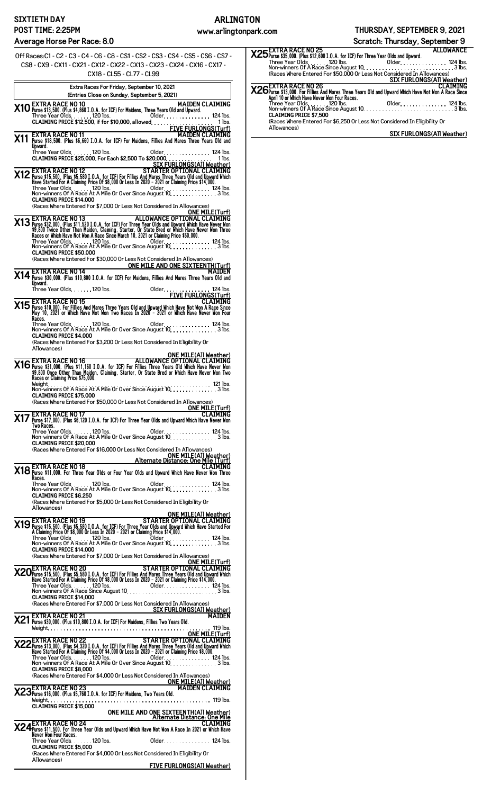## **ARLINGTON**

**www.arlingtonpark.com THURSDAY, SEPTEMBER 9, 2021**

**Scratch: Thursday, September 9**

| 0ff Races: C1 - C2 - C3 - C4 - C6 - C8 - CS1 - CS2 - CS3 - CS4 - CS5 - CS6 - CS7 -<br>CS8 - CX9 - CX11 - CX21 - CX12 - CX22 - CX13 - CX23 - CX24 - CX16 - CX17 -                                                                                                     |
|----------------------------------------------------------------------------------------------------------------------------------------------------------------------------------------------------------------------------------------------------------------------|
| CX18 - CL55 - CL77 - CL99                                                                                                                                                                                                                                            |
| Extra Races For Friday, September 10, 2021                                                                                                                                                                                                                           |
| (Entries Close on Sunday, September 5, 2021)<br><b>EXTRA RACE NO 10</b><br><b>MAIDEN CLAIMING</b>                                                                                                                                                                    |
| X10 Purse \$13,500. (Plus \$4,860 I.O.A. for ICF) For Maidens, Three Years Old and Upward.<br>Three Year Olds. 120 lbs. 01der. 124 lbs.                                                                                                                              |
| CLAIMING PRICE \$12,500, if for \$10,000, allowed<br>FIVE FURLONGS(Turf)<br>THE SURFORT CLAIMING<br>MAIDEN CLAIMING<br>MAIDEN CLAIMING<br>MAIDEN CLAIMING<br>MAIDEN CLAIMING                                                                                         |
| Unward.<br>Three Year Olds. 120 lbs.<br>01der. 124 lbs.<br>CLAIMING PRICE \$25,000, For Each \$2,500 To \$20,000 11 1 1 ms.                                                                                                                                          |
| SIX FURLONGS(All Weather)<br>SIX FURLONGS(A11 Weather)<br>Martier Optional Claiming Pice 35,580 I.O.A. for ICF) For Fillies And Mares. Three Years Old and Upward Which<br>Have Started For A Claiming Price 0f \$8,000 Or Less In 2020 – 2021 or Claiming Price \$  |
| <b>CLAIMING PRICE \$14,000</b><br>(Races Where Entered For \$7,000 Or Less Not Considered In Allowances)                                                                                                                                                             |
| <b>ONE MILE(Turf)</b>                                                                                                                                                                                                                                                |
| <b>X13</b> EXTRA RACE NO 13<br><b>X13</b> Purse \$32,000. (Plus \$11,520 I.O.A. for ICF) For Three Year Olds and Upward Which Have Never Won<br>\$9,800 Twice Other Than Maiden. Claiming, Starter. Or State Bred or Which Have Never Won<br>Races o                 |
| <b>CLAIMING PRICE \$50,000</b><br>(Races Where Entered For \$30,000 Or Less Not Considered In Allowances)                                                                                                                                                            |
| ONE MILE AND ONE SIXTEENTH(Turf)<br><b>X14</b> EXTRA RACE NO 14<br><b>X14</b> Purse \$30,000. (Plus \$10,800 I.O.A. for ICF) For Maidens, Fillies And Mares Three Years Old and<br>Upward.                                                                           |
| op<br>Three Year Olds. 120 lbs.<br>01der<br>. 124 lbs.<br><b>FIVE FURLONGS(Turf)</b>                                                                                                                                                                                 |
| CLAIMING BYTRA RACE NO 15<br>May 10, 2000. For Fillies And Mares Three Years Old and Upward Which Have Not Won A Race Since<br>May 10, 2021 or Which Have Not Won Two Races In 2020 - 2021 or Which Have Never Won Four<br>Račes.                                    |
| <b>CLAIMING PRICE \$4,000</b>                                                                                                                                                                                                                                        |
| (Races Where Entered For \$3,200 Or Less Not Considered In Eligibility Or<br>Allowances)                                                                                                                                                                             |
| ONE MILE(All Weather)<br>2116 Purse \$31,000. (Plus \$11,160 I.O.A. for ICF) For Fillies Three Years Old Which Have Never Won<br>39,800 Once Other Than Maiden, Claiming, Starter, Or State Bred or Which Have Never Won<br>39,800 Once O                            |
| Races or Claiming Price \$75,000.<br><b>CLAIMING PRICE \$75,000</b>                                                                                                                                                                                                  |
| (Races Where Entered For \$50,000 Or Less Not Considered In Allowances)<br>ONE MILE (Turf)                                                                                                                                                                           |
| X17 EXTRA RACE NO 17<br>X17 Purse \$17,000. (Plus \$6,120 I.O.A. for ICF) For Three Year Olds and Upward Which Have Never Won<br>Two Races.                                                                                                                          |
| <b>CLAIMING PRICE \$20.000</b><br>(Races Where Entered For \$16,000 Or Less Not Considered In Allowances)                                                                                                                                                            |
| ONE MILE(AII Weather)<br>ME MILE(AII Weather)<br>X18 Purse \$11,000. For Three Year Olds or Four Year Olds and Upward Which Have Never Won Three                                                                                                                     |
| Races.                                                                                                                                                                                                                                                               |
| <b>CLAIMING PRICE \$6.250</b><br>(Races Where Entered For \$5,000 Or Less Not Considered In Eligibility Or                                                                                                                                                           |
| Allowances)                                                                                                                                                                                                                                                          |
| ONE MILE(All Weather)<br>TARTER OPTIONAL CLAIMING<br>TARTER OPTIONAL CLAIMING<br>A Claiming Price 0 18,000 Or Less In 2020 - 2021 or Claiming Price 31,500. (Pluse \$15,500 Or Less In 2020 - 2021 or Claiming Price 314,000.<br>Three                               |
| <b>CLAIMING PRICE \$14,000</b><br>(Races Where Entered For \$7,000 Or Less Not Considered In Allowances)                                                                                                                                                             |
| <b>ONE MILE(Turf)</b><br>ONE MILE(Turf)<br>Magnes \$15,500. (Plus \$5,580 I.O.A. for ICF) For Fillies And Mares Three Years Old and Upward Which<br>Have Started For A Claiming Price Of \$8,000 Or Less In 2020 – 2021 or Claiming Price \$14,000<br>Have Started F |
| <b>CLAIMING PRICE \$14,000</b>                                                                                                                                                                                                                                       |
| (Races Where Entered For \$7,000 Or Less Not Considered In Allowances)                                                                                                                                                                                               |
| SIX FURLONGS(A11 Weather)<br>X21 Purse \$30,000. (Plus \$10,800 I.O.A. for ICF) For Maidens, Fillies Two Years Old.                                                                                                                                                  |
| <b>X22</b> EXTRA RACE NO 22<br>Pluse \$13,000. (Plus \$4,320 I.O.A. for ICF) For Fillies And Mares Three Years 01d and Upward Which<br>Have Started For A Claiming Price of \$4,000 or Less In 2020 - 2021 or Claiming Price \$8,000.<br>Thre                        |
| <b>CLAIMING PRICE \$8,000</b>                                                                                                                                                                                                                                        |
| (Races Where Entered For \$4,000 Or Less Not Considered In Allowances)<br>ONE MILE(AII Weather)<br>X23 Purses 16,000. (Plus \$5,760 I.O.A. for ICF) For Maidens, Two Years Old. MAIDEN CLAIMING                                                                      |
| <b>CLAIMING PRICE \$15.000</b>                                                                                                                                                                                                                                       |
| ONE MILE AND ONE SIXTEENTH(AII Weather)<br>ONE MILE AND ONE SIXTEENTH(AII Weather)<br>X24 <sup>EXTRA</sup> RACE NO 24<br>X24 <sup>EXTRA</sup> RACE NO 24<br>CLAIMING                                                                                                 |
| Never Won Four Races.                                                                                                                                                                                                                                                |
| Three Year Olds. 120 lbs.<br>Older. 124 lbs.<br><b>CLAIMING PRICE \$5,000</b><br>(Races Where Entered For \$4,000 Or Less Not Considered In Eligibility Or                                                                                                           |
| Allowances)<br><b>FIVE FURLONGS(All Weather)</b>                                                                                                                                                                                                                     |

| <b>Scienci: Time suay, September 3</b>                                                                                                |                           |
|---------------------------------------------------------------------------------------------------------------------------------------|---------------------------|
| X25 EXTRA RACE NO 25<br>X25 Purse \$35,000. (Plus \$12,600 I.O.A. for ICF) For Three Year Olds and Upward.                            | <b>ALLOWANCE</b>          |
|                                                                                                                                       |                           |
|                                                                                                                                       |                           |
|                                                                                                                                       |                           |
| (Races Where Entered For \$50,000 Or Less Not Considered In Allowances)                                                               |                           |
|                                                                                                                                       | SIX FURLONGS(All Weather) |
| CLAIMING X26 EXTRA RACE NO 26<br>X26 Purse \$13,000. For Fillies And Mares Three Years Old and Upward Which Have Not Won A Race Since |                           |
|                                                                                                                                       |                           |
| April 10 or Which Have Never Won Four Races.                                                                                          |                           |
|                                                                                                                                       |                           |
|                                                                                                                                       |                           |
| <b>CLAIMING PRICE \$7,500</b>                                                                                                         |                           |
| (Races Where Entered For \$6,250 Or Less Not Considered In Eligibility Or                                                             |                           |
| Allowances)                                                                                                                           |                           |
|                                                                                                                                       | SIX FURLONGS(All Weather) |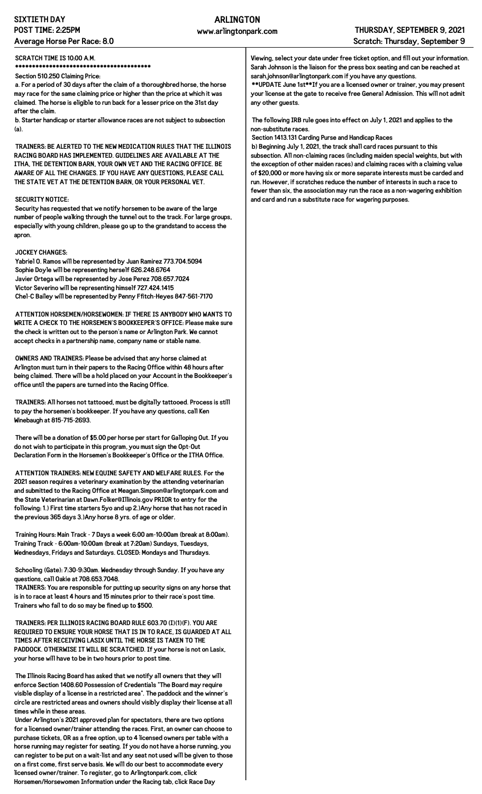## **SIXTIETH DAY POST TIME: 2:25PM Average Horse Per Race: 8.0**

### **SCRATCH TIME IS 10:00 A.M.**

**\*\*\*\*\*\*\*\*\*\*\*\*\*\*\*\*\*\*\*\*\*\*\*\*\*\*\*\*\*\*\*\*\*\*\*\*\*\*\*\* Section 510.250 Claiming Price:**

**a. For a period of 30 days after the claim of a thoroughbred horse, the horse may race for the same claiming price or higher than the price at which it was claimed. The horse is eligible to run back for a lesser price on the 31st day**

**after the claim. b. Starter handicap or starter allowance races are not subject to subsection (a).**

**TRAINERS: BE ALERTED TO THE NEW MEDICATION RULES THAT THE ILLINOIS RACING BOARD HAS IMPLEMENTED. GUIDELINES ARE AVAILABLE AT THE ITHA, THE DETENTION BARN, YOUR OWN VET AND THE RACING OFFICE. BE AWARE OF ALL THE CHANGES. IF YOU HAVE ANY QUESTIONS, PLEASE CALL THE STATE VET AT THE DETENTION BARN, OR YOUR PERSONAL VET.**

#### **SECURITY NOTICE:**

**Security has requested that we notify horsemen to be aware of the large number of people walking through the tunnel out to the track. For large groups, especially with young children, please go up to the grandstand to access the apron.**

### **JOCKEY CHANGES:**

**Yabriel O. Ramos will be represented by Juan Ramirez 773.704.5094 Sophie Doyle will be representing herself 626.248.6764 Javier Ortega will be represented by Jose Perez 708.657.7024 Victor Severino will be representing himself 727.424.1415 Chel-C Bailey will be represented by Penny Ffitch-Heyes 847-561-7170**

**ATTENTION HORSEMEN/HORSEWOMEN: IF THERE IS ANYBODY WHO WANTS TO WRITE A CHECK TO THE HORSEMEN'S BOOKKEEPER'S OFFICE: Please make sure the check is written out to the person's name or Arlington Park. We cannot accept checks in a partnership name, company name or stable name.**

**OWNERS AND TRAINERS: Please be advised that any horse claimed at Arlington must turn in their papers to the Racing Office within 48 hours after being claimed. There will be a hold placed on your Account in the Bookkeeper's office until the papers are turned into the Racing Office.**

**TRAINERS: All horses not tattooed, must be digitally tattooed. Process is still to pay the horsemen's bookkeeper. If you have any questions, call Ken Winebaugh at 815-715-2693.**

**There will be a donation of \$5.00 per horse per start for Galloping Out. If you do not wish to participate in this program, you must sign the Opt-Out Declaration Form in the Horsemen's Bookkeeper's Office or the ITHA Office.**

**ATTENTION TRAINERS: NEW EQUINE SAFETY AND WELFARE RULES. For the 2021 season requires a veterinary examination by the attending veterinarian and submitted to the Racing Office at Meagan.Simpson@arlingtonpark.com and the State Veterinarian at Dawn.Folker@Illinois.gov PRIOR to entry for the following: 1.) First time starters 5yo and up 2.)Any horse that has not raced in the previous 365 days 3.)Any horse 8 yrs. of age or older.**

**Training Hours: Main Track - 7 Days a week 6:00 am-10:00am (break at 8:00am). Training Track - 6:00am-10:00am (break at 7:20am) Sundays, Tuesdays, Wednesdays, Fridays and Saturdays. CLOSED: Mondays and Thursdays.**

**Schooling (Gate): 7:30-9:30am. Wednesday through Sunday. If you have any questions, call Oakie at 708.653.7048.**

**TRAINERS: You are responsible for putting up security signs on any horse that is in to race at least 4 hours and 15 minutes prior to their race's post time. Trainers who fail to do so may be fined up to \$500.**

**TRAINERS: PER ILLINOIS RACING BOARD RULE 603.70 (I)(1)(F). YOU ARE REQUIRED TO ENSURE YOUR HORSE THAT IS IN TO RACE, IS GUARDED AT ALL TIMES AFTER RECEIVING LASIX UNTIL THE HORSE IS TAKEN TO THE PADDOCK. OTHERWISE IT WILL BE SCRATCHED. If your horse is not on Lasix, your horse will have to be in two hours prior to post time.**

**The Illinois Racing Board has asked that we notify all owners that they will enforce Section 1408.60 Possession of Credentials "The Board may require visible display of a license in a restricted area". The paddock and the winner's circle are restricted areas and owners should visibly display their license at all times while in these areas.**

**Under Arlington's 2021 approved plan for spectators, there are two options for a licensed owner/trainer attending the races. First, an owner can choose to purchase tickets, OR as a free option, up to 4 licensed owners per table with a horse running may register for seating. If you do not have a horse running, you can register to be put on a wait-list and any seat not used will be given to those on a first come, first serve basis. We will do our best to accommodate every licensed owner/trainer. To register, go to Arlingtonpark.com, click Horsemen/Horsewomen Information under the Racing tab, click Race Day**

**Viewing, select your date under free ticket option, and fill out your information. Sarah Johnson is the liaison for the press box seating and can be reached at sarah.johnson@arlingtonpark.com if you have any questions.**

**\*\*UPDATE June 1st\*\*If you are a licensed owner or trainer, you may present your license at the gate to receive free General Admission. This will not admit any other guests.**

**The following IRB rule goes into effect on July 1, 2021 and applies to the non-substitute races.**

**Section 1413.131 Carding Purse and Handicap Races**

**b) Beginning July 1, 2021, the track shall card races pursuant to this subsection. All non-claiming races (including maiden special weights, but with the exception of other maiden races) and claiming races with a claiming value of \$20,000 or more having six or more separate interests must be carded and run. However, if scratches reduce the number of interests in such a race to fewer than six, the association may run the race as a non-wagering exhibition and card and run a substitute race for wagering purposes.**